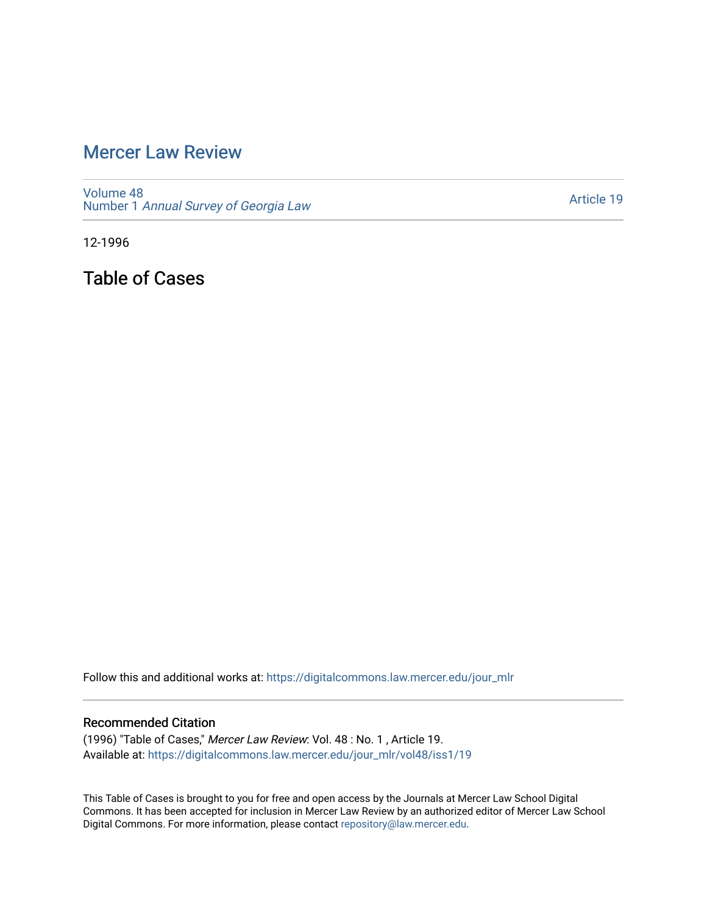## [Mercer Law Review](https://digitalcommons.law.mercer.edu/jour_mlr)

[Volume 48](https://digitalcommons.law.mercer.edu/jour_mlr/vol48) Number 1 [Annual Survey of Georgia Law](https://digitalcommons.law.mercer.edu/jour_mlr/vol48/iss1) 

[Article 19](https://digitalcommons.law.mercer.edu/jour_mlr/vol48/iss1/19) 

12-1996

Table of Cases

Follow this and additional works at: [https://digitalcommons.law.mercer.edu/jour\\_mlr](https://digitalcommons.law.mercer.edu/jour_mlr?utm_source=digitalcommons.law.mercer.edu%2Fjour_mlr%2Fvol48%2Fiss1%2F19&utm_medium=PDF&utm_campaign=PDFCoverPages)

## Recommended Citation

(1996) "Table of Cases," Mercer Law Review: Vol. 48 : No. 1 , Article 19. Available at: [https://digitalcommons.law.mercer.edu/jour\\_mlr/vol48/iss1/19](https://digitalcommons.law.mercer.edu/jour_mlr/vol48/iss1/19?utm_source=digitalcommons.law.mercer.edu%2Fjour_mlr%2Fvol48%2Fiss1%2F19&utm_medium=PDF&utm_campaign=PDFCoverPages) 

This Table of Cases is brought to you for free and open access by the Journals at Mercer Law School Digital Commons. It has been accepted for inclusion in Mercer Law Review by an authorized editor of Mercer Law School Digital Commons. For more information, please contact [repository@law.mercer.edu](mailto:repository@law.mercer.edu).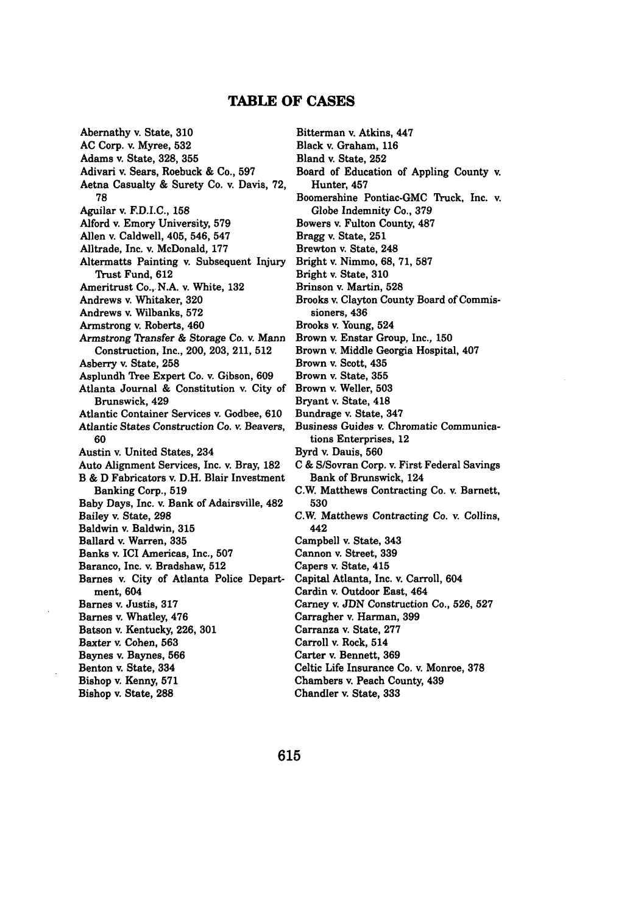## **TABLE OF CASES**

Abernathy v. State, **310 AC** Corp. v. Myree, **532** Adams v. State, **328, 355** Adivari v. Sears, Roebuck **&** Co., **597** Aetna Casualty **&** Surety Co. v. Davis, **72, 78** Aguilar v. **F.D.I.C., 158** Alford v. Emory University, **579** Allen v. Caldwell, 405, 546, 547 Alltrade, Inc. v. McDonald, **177** Altermatts Painting **v.** Subsequent Injury Trust Fund, **612** Ameritrust Co., N.A. v. White, **132** Andrews v. Whitaker, **320** Andrews v. Wilbanks, **572** Armstrong v. Roberts, 460 Armstrong Transfer **&** Storage Co. v. Mann Construction, Inc., 200, **203,** 211, **512** Asberry v. State, **258** Asplundh Tree Expert Co. v. Gibson, **609** Atlanta Journal **&** Constitution v. City of Brunswick, 429 Atlantic Container Services v. Godbee, **610** Atlantic States Construction Co. *v.* Beavers, **60** Austin v. United States, 234 Auto Alignment Services, Inc. **v.** Bray, **182** B **& D** Fabricators v. D.H. Blair Investment Banking Corp., **519** Baby Days, Inc. **v.** Bank of Adairsville, 482 Bailey v. State, **298** Baldwin v. Baldwin, **315** Ballard v. Warren, **335** Banks v. ICI Americas, Inc., **507** Baranco, Inc. v. Bradshaw, **512** Barnes v. City of Atlanta Police Department, 604 Barnes v. Justis, **317** Barnes v. Whatley, 476 Batson v. Kentucky, **226, 301** Baxter v. Cohen, **563** Baynes v. Baynes, **566** Benton v. State, 334 Bishop v. Kenny, **571** Bishop v. State, **288**

Bitterman v. Atkins, 447 Black v. Graham, **116** Bland v. State, **252** Board of Education of Appling County v. Hunter, 457 Boomershine Pontiac-GMC Truck, Inc. v. Globe Indemnity Co., **379** Bowers v. Fulton County, **487** Bragg v. State, **251** Brewton v. State, 248 Bright v. Nimmo, **68,** 71, **587** Bright v. State, **310** Brinson v. Martin, **528** Brooks v. Clayton County Board of Commissioners, 436 Brooks v. Young, 524 Brown v. Enstar Group, Inc., **150** Brown v. Middle Georgia Hospital, 407 Brown v. Scott, 435 Brown v. State, **355** Brown v. Weller, **503** Bryant v. State, 418 Bundrage v. State, 347 Business Guides v. Chromatic Communications Enterprises, 12 Byrd v. Dauis, **560** C & S/Sovran Corp. v. First Federal Savings Bank of Brunswick, 124 C.W. Matthews Contracting Co. v. Barnett, **530** C.W. Matthews Contracting Co. v. Collins, 442 Campbell v. State, 343 Cannon v. Street, **339** Capers v. State, 415 Capital Atlanta, Inc. **v.** Carroll, 604 Cardin v. Outdoor East, 464 Carney v. **JDN** Construction Co., **526, 527** Carragher v. Harman, **399** Carranza v. State, **277** Carroll v. Rock, 514 Carter v. Bennett, **369** Celtic Life Insurance Co. v. Monroe, **378** Chambers v. Peach County, 439 Chandler v. State, **333**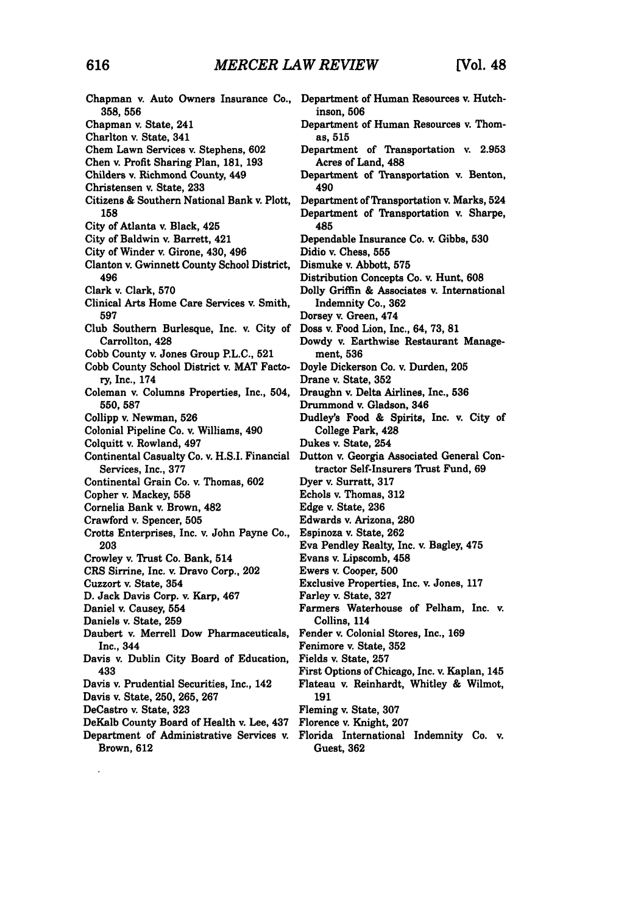| Chapman v. Auto Owners Insurance Co.,<br>358, 556                   | Department of Human Resources v. Hutch-<br>inson, 506                                 |
|---------------------------------------------------------------------|---------------------------------------------------------------------------------------|
| Chapman v. State, 241                                               | Department of Human Resources v. Thom-                                                |
| Charlton v. State, 341                                              | as, 515                                                                               |
| Chem Lawn Services v. Stephens, 602                                 | Department of Transportation v. 2.953                                                 |
| Chen v. Profit Sharing Plan, 181, 193                               | Acres of Land, 488                                                                    |
| Childers v. Richmond County, 449                                    | Department of Transportation v. Benton,                                               |
| Christensen v. State, 233                                           | 490                                                                                   |
| Citizens & Southern National Bank v. Plott,                         | Department of Transportation v. Marks, 524                                            |
| 158                                                                 | Department of Transportation v. Sharpe,                                               |
| City of Atlanta v. Black, 425                                       | 485                                                                                   |
| City of Baldwin v. Barrett, 421                                     | Dependable Insurance Co. v. Gibbs, 530                                                |
| City of Winder v. Girone, 430, 496                                  | Didio v. Chess, 555                                                                   |
| Clanton v. Gwinnett County School District,                         | Dismuke v. Abbott, 575                                                                |
| 496                                                                 |                                                                                       |
| Clark v. Clark, 570                                                 | Distribution Concepts Co. v. Hunt, 608<br>Dolly Griffin & Associates v. International |
| Clinical Arts Home Care Services v. Smith,                          |                                                                                       |
| 597                                                                 | Indemnity Co., 362<br>Dorsey v. Green, 474                                            |
| Club Southern Burlesque, Inc. v. City of                            | Doss v. Food Lion, Inc., 64, 73, 81                                                   |
| Carrollton, 428                                                     |                                                                                       |
| Cobb County v. Jones Group P.L.C., 521                              | Dowdy v. Earthwise Restaurant Manage-<br>ment, 536                                    |
|                                                                     |                                                                                       |
| Cobb County School District v. MAT Facto-<br>ry, Inc., 174          | Doyle Dickerson Co. v. Durden, 205                                                    |
|                                                                     | Drane v. State, 352                                                                   |
| Coleman v. Columns Properties, Inc., 504,                           | Draughn v. Delta Airlines, Inc., 536                                                  |
| 550, 587                                                            | Drummond v. Gladson, 346                                                              |
| Collipp v. Newman, 526                                              | Dudley's Food & Spirits, Inc. v. City of                                              |
| Colonial Pipeline Co. v. Williams, 490                              | College Park, 428                                                                     |
| Colquitt v. Rowland, 497                                            | Dukes v. State, 254                                                                   |
| Continental Casualty Co. v. H.S.I. Financial<br>Services, Inc., 377 | Dutton v. Georgia Associated General Con-<br>tractor Self-Insurers Trust Fund, 69     |
| Continental Grain Co. v. Thomas, 602                                | Dyer v. Surratt, 317                                                                  |
| Copher v. Mackey, 558                                               | Echols v. Thomas, 312                                                                 |
| Cornelia Bank v. Brown, 482                                         | Edge v. State, 236                                                                    |
| Crawford v. Spencer, 505                                            | Edwards v. Arizona, 280                                                               |
| Crotts Enterprises, Inc. v. John Payne Co.,                         | Espinoza v. State, 262                                                                |
| 203                                                                 | Eva Pendley Realty, Inc. v. Bagley, 475                                               |
| Crowley v. Trust Co. Bank, 514                                      | Evans v. Lipscomb, 458                                                                |
| CRS Sirrine, Inc. v. Dravo Corp., 202                               | Ewers v. Cooper, 500                                                                  |
| Cuzzort v. State, 354                                               | Exclusive Properties, Inc. v. Jones, 117                                              |
| D. Jack Davis Corp. v. Karp, 467                                    | Farley v. State, 327                                                                  |
| Daniel v. Causey, 554                                               | Farmers Waterhouse of Pelham, Inc. v.                                                 |
| Daniels v. State, 259                                               | Collins, 114                                                                          |
| Daubert v. Merrell Dow Pharmaceuticals,                             | Fender v. Colonial Stores, Inc., 169                                                  |
| Inc., 344                                                           | Fenimore v. State, 352                                                                |
| Davis v. Dublin City Board of Education,                            | Fields v. State, 257                                                                  |
| 433                                                                 | First Options of Chicago, Inc. v. Kaplan, 145                                         |
| Davis v. Prudential Securities, Inc., 142                           | Flateau v. Reinhardt, Whitley & Wilmot,                                               |
| Davis v. State, 250, 265, 267                                       | 191                                                                                   |
| DeCastro v. State, 323                                              | Fleming v. State, 307                                                                 |
| DeKalb County Board of Health v. Lee, 437                           | Florence v. Knight, 207                                                               |
| Department of Administrative Services v.                            | Florida International Indemnity Co. v.                                                |
| Brown, 612                                                          | Guest, 362                                                                            |

 $\mathcal{L}^{\text{max}}_{\text{max}}$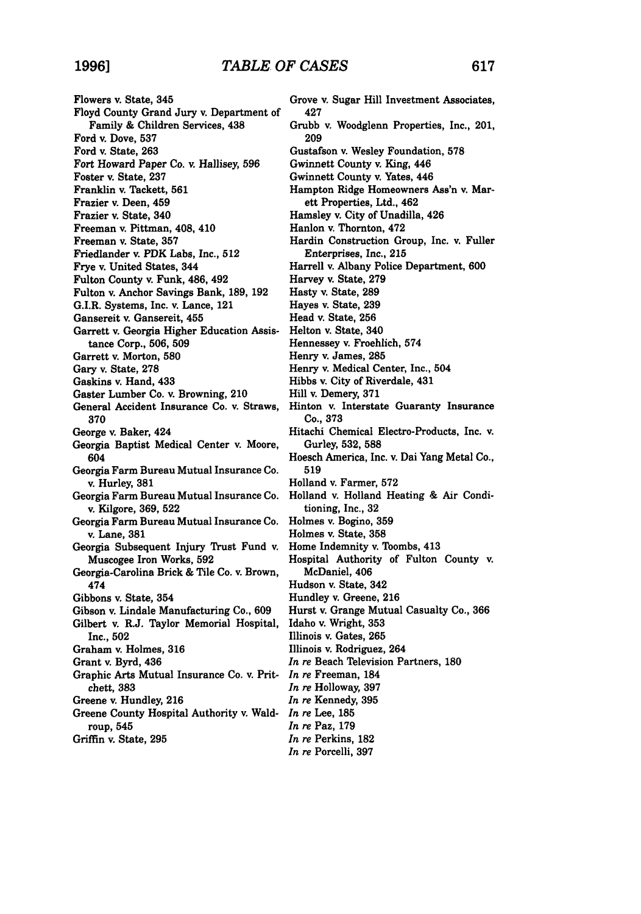Flowers v. State, 345 Floyd County Grand Jury v. Department of Family **&** Children Services, 438 Ford v. Dove, **537** Ford v. State, **263** Fort Howard Paper Co. v. Hallisey, **596** Foster v. State, **237** Franklin v. Tackett, **561** Frazier v. Deen, 459 Frazier v. State, 340 Freeman v. Pittman, 408, 410 Freeman v. State, **357** Friedlander v. PDK Labs, Inc., **512** Frye v. United States, 344 Fulton County v. Funk, 486, 492 Fulton v. Anchor Savings Bank, **189, 192** G.I.R. Systems, Inc. v. Lance, 121 Gansereit v. Gansereit, 455 Garrett v. Georgia Higher Education Assistance Corp., **506, 509** Garrett v. Morton, **580** Gary v. State, **278** Gaskins v. Hand, 433 Gaster Lumber Co. v. Browning, 210 General Accident Insurance Co. v. Straws, **370** George v. Baker, 424 Georgia Baptist Medical Center v. Moore, 604 Georgia Farm Bureau Mutual Insurance Co. v. Hurley, **381** Georgia Farm Bureau Mutual Insurance Co. v. Kilgore, **369, 522** Georgia Farm Bureau Mutual Insurance Co. v. Lane, **381** Georgia Subsequent Injury Trust Fund v. Muscogee Iron Works, **592** Georgia-Carolina Brick & Tile Co. v. Brown, 474 Gibbons v. State, 354 Gibson v. Lindale Manufacturing Co., **609** Gilbert v. R.J. Taylor Memorial Hospital, Inc., **502** Graham v. Holmes, 316 Grant v. Byrd, 436 Graphic Arts Mutual Insurance Co. v. Pritchett, **383** Greene **v.** Hundley, **216** Greene County Hospital Authority v. Wald-*In re* Lee, **185** roup, 545

Grove v. Sugar Hill Investment Associates, 427 Grubb v. Woodglenn Properties, Inc., 201, **209** Gustafson v. Wesley Foundation, **578** Gwinnett County v. King, 446 Gwinnett County v. Yates, 446 Hampton Ridge Homeowners Ass'n v. Marett Properties, Ltd., 462 Hamsley v. City of Unadilla, 426 Hanlon v, Thornton, 472 Hardin Construction Group, Inc. v. Fuller Enterprises, Inc., **215** Harrell v. Albany Police Department, **600** Harvey v. State, **279** Hasty v. State, **289** Hayes v. State, **239** Head v. State, **256** Helton **v.** State, 340 Hennessey v. Froehlich, 574 Henry v. James, **285** Henry v. Medical Center, Inc., 504 Hibbs v. City of Riverdale, 431 Hill v. Demery, **371** Hinton v. Interstate Guaranty Insurance Co., **373** Hitachi Chemical Electro-Products, Inc. v. Gurley, **532, 588** Hoesch America, Inc. v. Dai Yang Metal Co., **519** Holland v. Farmer, **572** Holland v. Holland Heating & Air Conditioning, Inc., **32** Holmes v. Bogino, **359** Holmes v. State, **358** Home Indemnity v. Toombs, 413 Hospital Authority of Fulton County v. McDaniel, 406 Hudson **v.** State, 342 Hundley v. Greene, **216** Hurst v. Grange Mutual Casualty Co., **366** Idaho v. Wright, **353** Illinois v. Gates, **265** Illinois **v.** Rodriguez, 264 *In re* Beach Television Partners, **180** *In re* Freeman, 184 *In re* Holloway, **397** *In re* Kennedy, 395 *In re* Paz, **179**

*In re* Perkins, **182** *In re* Porcelli, **397**

Griffin v. State, **295**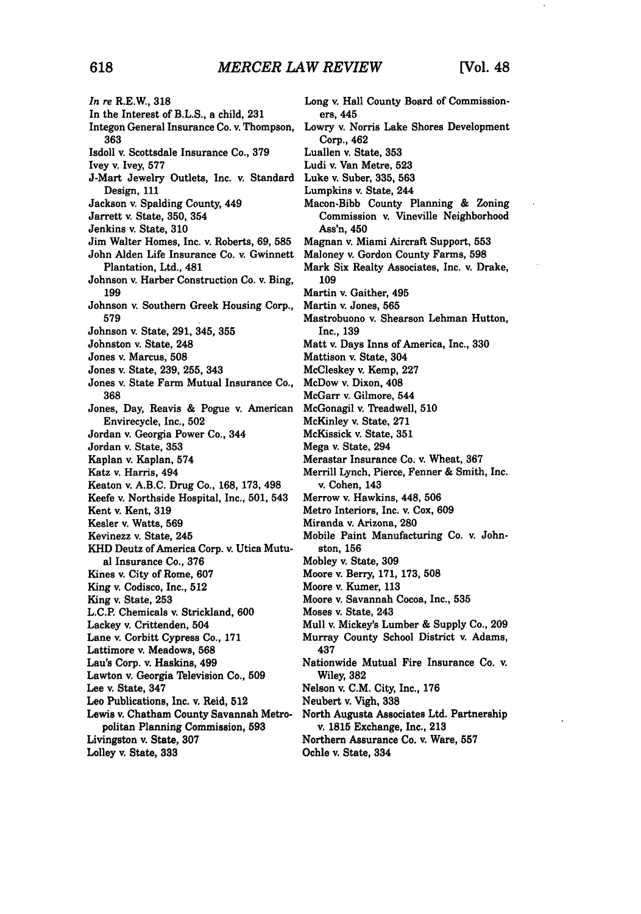*In re* R.E.W., **318** In the Interest of B.L.S., a child, **231** Integon General Insurance Co. **v.** Thompson, **363** Isdoll *v.* Scottsdale Insurance **Co., 379** Ivey v. Ivey, **577** J-Mart Jewelry Outlets, Inc. v. Standard Design, 111 Jackson v. Spalding County, 449 Jarrett v. State, **350,** 354 Jenkins v. State, **310** Jim Walter Homes, Inc. v. Roberts, **69, 585** John Alden Life Insurance Co. v. Gwinnett Plantation, Ltd., 481 Johnson v. Harber Construction Co. v. Bing, **199** Johnson v. Southern Greek Housing Corp., **579** Johnson v. State, 291, 345, **355** Johnston v. State, 248 Jones v. Marcus, **508** Jones v. State, **239, 255,** 343 Jones v. State Farm Mutual Insurance Co., **368** Jones, Day, Reavis **&** Pogue v. American Envirecycle, Inc., **502** Jordan v. Georgia Power Co., 344 Jordan v. State, **353** Kaplan v. Kaplan, 574 Katz v. Harris, 494 Keaton v. A.B.C. Drug Co., **168,** 173, 498 Keefe v. Northside Hospital, Inc., 501, 543 Kent v. Kent, **319** Kesler v. Watts, **569** Kevinezz v. State, 245 KHD Deutz of America Corp. v. Utica Mutual Insurance Co., **376** Kines v. City of Rome, **607** King v. Codisco, Inc., **512** King v. State, **253** L.C.P. Chemicals *v.* Strickland, **600** Lackey v. Crittenden, 504 Lane v. Corbitt Cypress Co., **171** Lattimore v. Meadows, **568** Lau's Corp. **v.** Haskins, 499 Lawton v. Georgia Television Co., **509** Lee v. State, **347** Leo Publications, Inc. v. Reid, **512** Lewis v. Chatham County Savannah Metropolitan Planning Commission, **593** Livingston v. State, **307** Lolley v. State, **333**

Long v. Hall County Board of Commissioners, 445 Lowry **v.** Norris Lake Shores Development Corp., 462 Luallen v. State, **353** Ludi v. Van Metre, **523** Luke v. Suber, **335, 563** Lumpkins v. State, 244 Macon-Bibb County Planning **&** Zoning Commission v. Vineville Neighborhood Ass'n, 450 Magnan v. Miami Aircraft Support, **553** Maloney v. Gordon County Farms, **598** Mark Six Realty Associates, Inc. v. Drake, **109** Martin v. Gaither, 495 Martin v. Jones, **565** Mastrobuono v. Shearson Lehman Hutton, Inc., **139** Matt v. Days Inns of America, Inc., **330** Mattison v. State, 304 McCleskey v. Kemp, **227** McDow **v.** Dixon, 408 McGarr v. Gilmore, 544 McGonagil v. Treadwell, **510** McKinley v. State, **271** McKissick v. State, **351** Mega v. State, 294 Merastar Insurance Co. v. Wheat, **367** Merrill Lynch, Pierce, Fenner & Smith, Inc. v. Cohen, 143 Merrow v. Hawkins, 448, **506** Metro Interiors, Inc. v. Cox, **609** Miranda v. Arizona, **280** Mobile Paint Manufacturing Co. v. Johnston, **156** Mobley v. State, **309** Moore v. Berry, 171, 173, **508** Moore v. Kumer, **113** Moore v. Savannah Cocoa, Inc., **535** Moses v. State, 243 Mull v. Mickey's Lumber & Supply Co., **209** Murray County School District v. Adams, 437 Nationwide Mutual Fire Insurance Co. v. Wiley, **382** Nelson v. C.M. City, Inc., **176** Neubert v. Vigh, **338** North Augusta Associates Ltd. Partnership v. **1815** Exchange, Inc., **213** Northern Assurance Co. v. Ware, **557** Ochle v. State, 334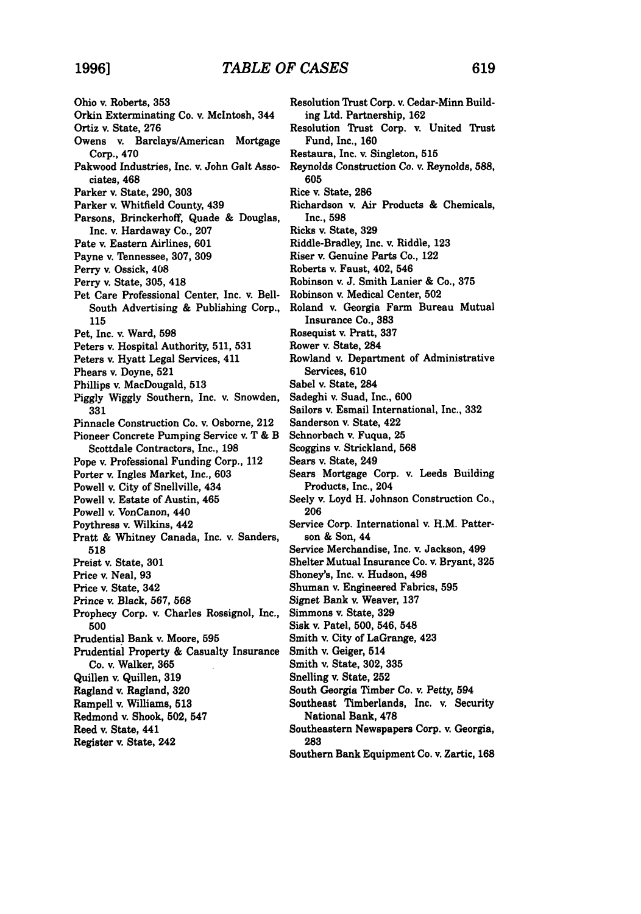Ohio v. Roberts, **353** Orkin Exterminating Co. v. McIntosh, 344 Ortiz v. State, **276** Owens v. Barclays/American Mortgage Corp., 470 Pakwood Industries, Inc. v. John Galt Associates, 468 Parker v. State, **290, 303** Parker v. Whitfield County, 439 Parsons, Brinckerhoff, Quade **&** Douglas, Inc. **v.** Hardaway Co., **207** Pate v. Eastern Airlines, **601** Payne v. Tennessee, **307, 309** Perry v. Ossick, 408 Perry v. State, **305,** 418 Pet Care Professional Center, Inc. v. Bell-South Advertising **&** Publishing Corp., **115** Pet, Inc. v. Ward, **598** Peters v. Hospital Authority, **511, 531** Peters v. Hyatt Legal Services, 411 Phears v. Doyne, **521** Phillips v. MacDougald, **513 Piggly Wiggly** Southern, Inc. v. Snowden, **331** Pinnacle Construction Co. v. Osborne, 212 Pioneer Concrete Pumping Service v. T **&** B Scottdale Contractors, Inc., **198** Pope v. Professional Funding Corp., 112 Porter v. Ingles Market, Inc., **603** Powell v. City of Snellville, 434 Powell v. Estate of Austin, 465 Powell v. VonCanon, 440 Poythress v. Wilkins, 442 Pratt **&** Whitney Canada, Inc. v. Sanders, **518** Preist v. State, **301** Price v. Neal, **93** Price **v.** State, 342 Prince v. Black, **567, 568** Prophecy Corp. v. Charles Rossignol, Inc., **500** Prudential Bank v. Moore, **595** Prudential Property **&** Casualty Insurance **Co.** v. Walker, **365** Quillen v. Quillen, **319** Ragland v. Ragland, **320** Rampell v. Williams, **513** Redmond v. Shook, **502,** 547 Reed v. State, 441 Register v. State, 242

Resolution Trust Corp. v. Cedar-Minn Building Ltd. Partnership, **162** Resolution Trust Corp. v. United Trust Fund, Inc., **160** Restaura, Inc. *v.* Singleton, **515** Reynolds Construction Co. v. Reynolds, **588, 605** Rice v. State, **286** Richardson v. Air Products **&** Chemicals, Inc., **598** Ricks v. State, **329** Riddle-Bradley, Inc. v. Riddle, **123** Riser v. Genuine Parts Co., 122 Roberts v. Faust, 402, 546 Robinson **v. J.** Smith Lanier **&** Co., **375** Robinson v. Medical Center, **502** Roland v. Georgia Farm Bureau Mutual Insurance Co., **383** Rosequist v. Pratt, **337** Rower v. State, 284 Rowland v. Department of Administrative Services, **610** Sabel v. State, 284 Sadeghi v. Suad, Inc., 600 Sailors v. Esmail International, Inc., **332** Sanderson v. State, 422 Schnorbach v. Fuqua, **25** Scoggins v. Strickland, **568** Sears v. State, 249 Sears Mortgage Corp. v. Leeds Building Products, Inc., 204 Seely v. Loyd H. Johnson Construction Co., **206** Service Corp. International v. H.M. Patterson & Son, 44 Service Merchandise, Inc. v. Jackson, 499 Shelter Mutual Insurance Co. v. Bryant, **325** Shoney's, Inc. v. Hudson, 498 Shuman v. Engineered Fabrics, **595** Signet Bank v. Weaver, **137** Simmons v. State, **329** Sisk v. Patel, **500,** 546, 548 Smith v. City of LaGrange, 423 Smith v. Geiger, 514 Smith v. State, **302, 335** Snelling v. State, **252** South Georgia Timber Co. v. Petty, 594 Southeast Timberlands, Inc. v. Security National Bank, **478** Southeastern Newspapers Corp. v. Georgia, **283**

Southern Bank Equipment Co. v. Zartic, **168**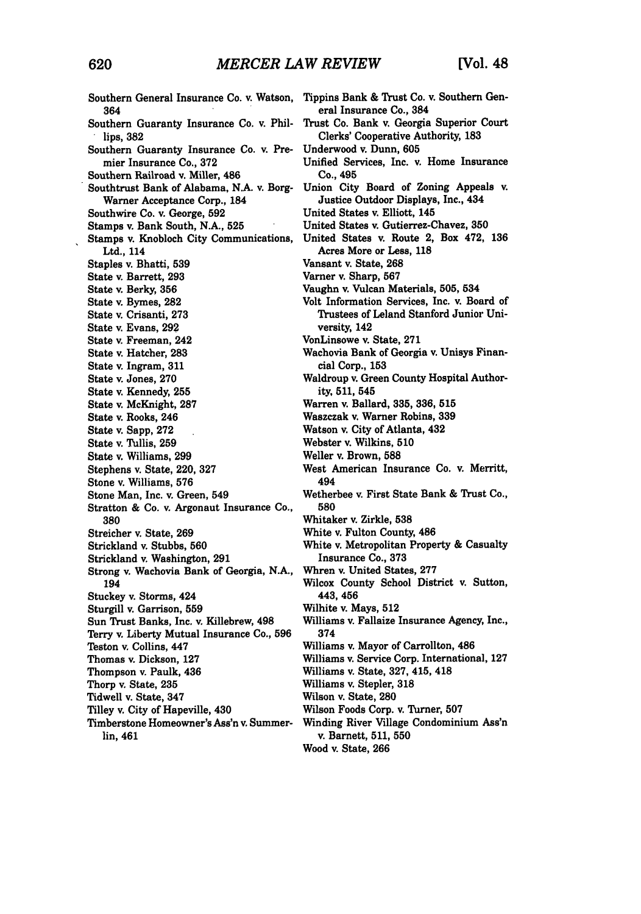Southern General Insurance Co. v. Watson, 364 Southern Guaranty Insurance Co. v. Phillips, **382** Southern Guaranty Insurance Co. v. Premier Insurance Co., **372** Southern Railroad v. Miller, 486 Southtrust Bank of Alabama, N.A. v. Borg-Warner Acceptance Corp., 184 Southwire Co. v. George, **592** Stamps v. Bank South, N.A., **525** Stamps v. Knobloch City Communications, Ltd., 114 Staples v. Bhatti, **539** State v. Barrett, **293** State v. Berky, **356** State v. Bymes, **282** State v. Crisanti, **273** State v. Evans, **292** State v. Freeman, 242 State **v.** Hatcher, **283** State v. Ingram, **311** State v. Jones, **270** State v. Kennedy, **255** State v. McKnight, **287** State v. Rooks, 246 State v. Sapp, **272** State v. Tullis, **259** State v. Williams, **299** Stephens v. State, 220, **327** Stone v. Williams, **576** Stone Man, Inc. v. Green, 549 Stratton & Co. v. Argonaut Insurance Co., **380** Streicher v. State, **269** Strickland v. Stubbs, **560** Strickland v. Washington, **291** Strong v. Wachovia Bank of Georgia, N.A., 194 Stuckey v. Storms, 424 Sturgill v. Garrison, **559** Sun Trust Banks, Inc. v. Killebrew, 498 Terry v. Liberty Mutual Insurance Co., **596** Teston v. Collins, 447 Thomas v. Dickson, **127** Thompson v. Paulk, 436 Thorp v. State, **235** Tidwell v. State, 347 Tilley v. City of Hapeville, 430 Timberstone Homeowner's Ass'n v. Summerlin, 461

Tippins Bank **&** Trust Co. v. Southern General Insurance Co., 384 Trust Co. Bank v. Georgia Superior Court Clerks' Cooperative Authority, **183** Underwood v. Dunn, **605** Unified Services, Inc. v. Home Insurance Co., 495 Union City Board of Zoning Appeals v. Justice Outdoor Displays, Inc., 434 United States v. Elliott, 145 United States v. Gutierrez-Chavez, **350** United States v. Route 2, Box 472, **136** Acres More or Less, **118** Vansant v. State, **268** Varner v. Sharp, **567** Vaughn v. Vulcan Materials, **505,** 534 Volt Information Services, Inc. v. Board of Trustees of Leland Stanford Junior University, 142 VonLinsowe v. State, **271** Wachovia Bank of Georgia v. Unisys Financial Corp., **153** Waldroup v. Green County Hospital Authority, **511,** 545 Warren v. Ballard, **335, 336, 515** Waszczak v. Warner Robins, **339** Watson v. City of Atlanta, 432 Webster **v.** Wilkins, **510** Weller v. Brown, **588** West American Insurance Co. v. Merritt, 494 Wetherbee v. First State Bank **&** Trust Co., **580** Whitaker v. Zirkle, **538** White v. Fulton County, 486 White v. Metropolitan Property **&** Casualty Insurance Co., **373** Whren v. United States, **277** Wilcox County School District v. Sutton, 443, 456 Wilhite v. Mays, **512** Williams v. Fallaize Insurance Agency, Inc., 374 Williams v. Mayor of Carrollton, 486 Williams v. Service Corp. International, **127** Williams v. State, **327,** 415, 418 Williams v. Stepler, **318** Wilson v. State, **280** Wilson Foods Corp. v. Turner, **507** Winding River Village Condominium Ass'n v. Barnett, **511, 550** Wood v. State, **266**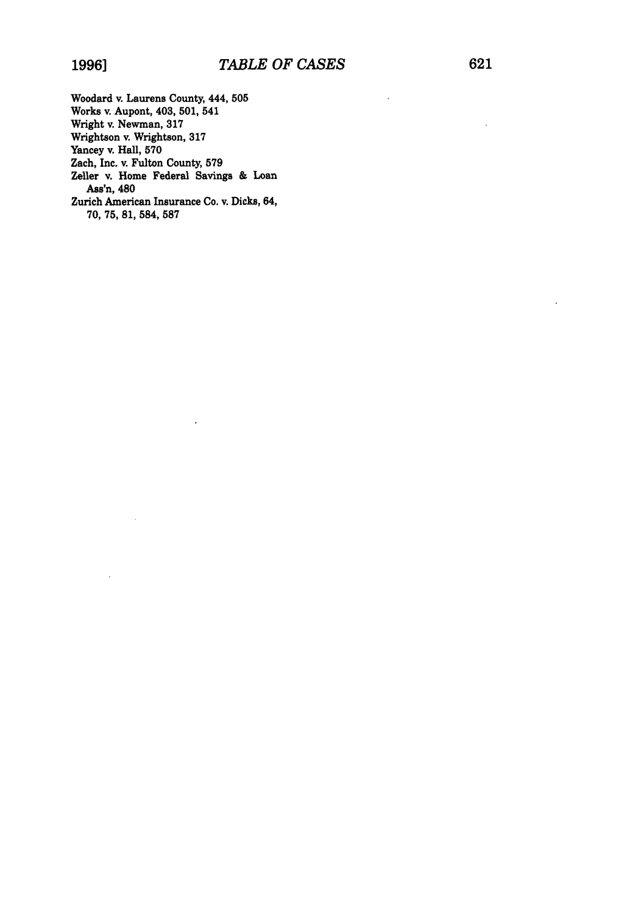Woodard v. Laurens County, 444, **505** Works v. Aupont, 403, **501,** 541 Wright v. Newman, **317** Wrightson v. Wrightson, **317** Yancey v. Hall, **570** Zach, Inc. v. Fulton County, **579** Zeller v. Home Federal Savings **&** Loan Ass'n, 480 Zurich American Insurance Co. v. Dicks, 64, **70, 75, 81, 584, 587**

 $\ddot{\phantom{a}}$ 

l,